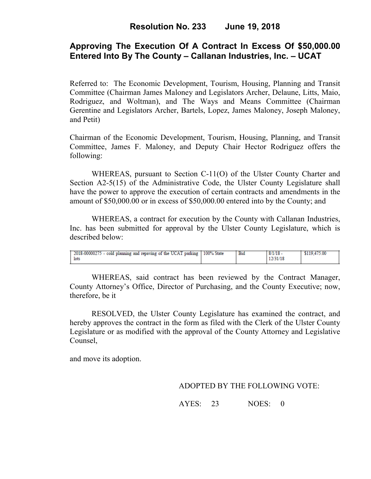# **Approving The Execution Of A Contract In Excess Of \$50,000.00 Entered Into By The County – Callanan Industries, Inc. – UCAT**

Referred to: The Economic Development, Tourism, Housing, Planning and Transit Committee (Chairman James Maloney and Legislators Archer, Delaune, Litts, Maio, Rodriguez, and Woltman), and The Ways and Means Committee (Chairman Gerentine and Legislators Archer, Bartels, Lopez, James Maloney, Joseph Maloney, and Petit)

Chairman of the Economic Development, Tourism, Housing, Planning, and Transit Committee, James F. Maloney, and Deputy Chair Hector Rodriguez offers the following:

WHEREAS, pursuant to Section C-11(O) of the Ulster County Charter and Section A2-5(15) of the Administrative Code, the Ulster County Legislature shall have the power to approve the execution of certain contracts and amendments in the amount of \$50,000.00 or in excess of \$50,000.00 entered into by the County; and

 WHEREAS, a contract for execution by the County with Callanan Industries, Inc. has been submitted for approval by the Ulster County Legislature, which is described below:

WHEREAS, said contract has been reviewed by the Contract Manager, County Attorney's Office, Director of Purchasing, and the County Executive; now, therefore, be it

RESOLVED, the Ulster County Legislature has examined the contract, and hereby approves the contract in the form as filed with the Clerk of the Ulster County Legislature or as modified with the approval of the County Attorney and Legislative Counsel,

and move its adoption.

## ADOPTED BY THE FOLLOWING VOTE:

AYES: 23 NOES: 0